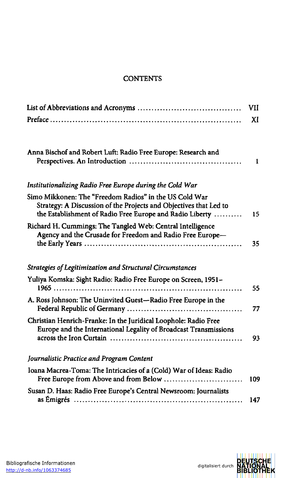## **CONTENTS**

|                                                                                                                                                                                         | VII |
|-----------------------------------------------------------------------------------------------------------------------------------------------------------------------------------------|-----|
|                                                                                                                                                                                         | XI  |
| Anna Bischof and Robert Luft: Radio Free Europe: Research and                                                                                                                           | 1   |
| Institutionalizing Radio Free Europe during the Cold War                                                                                                                                |     |
| Simo Mikkonen: The "Freedom Radios" in the US Cold War<br>Strategy: A Discussion of the Projects and Objectives that Led to<br>the Establishment of Radio Free Europe and Radio Liberty | 15  |
| Richard H. Cummings: The Tangled Web: Central Intelligence<br>Agency and the Crusade for Freedom and Radio Free Europe-                                                                 | 35  |
| Strategies of Legitimization and Structural Circumstances                                                                                                                               |     |
| Yuliya Komska: Sight Radio: Radio Free Europe on Screen, 1951-                                                                                                                          | 55  |
| A. Ross Johnson: The Uninvited Guest-Radio Free Europe in the                                                                                                                           | 77  |
| Christian Henrich-Franke: In the Juridical Loophole: Radio Free<br>Europe and the International Legality of Broadcast Transmissions                                                     | 93  |
| Journalistic Practice and Program Content                                                                                                                                               |     |
| Ioana Macrea-Toma: The Intricacies of a (Cold) War of Ideas: Radio                                                                                                                      | 109 |
| Susan D. Haas: Radio Free Europe's Central Newsroom: Journalists                                                                                                                        | 147 |